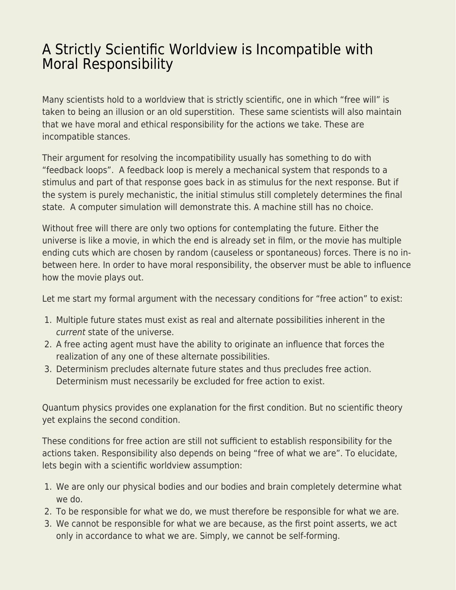## [A Strictly Scientific Worldview is Incompatible with](https://everything-voluntary.com/strictly-scientific-worldview-incompatible-moral-responsibility) [Moral Responsibility](https://everything-voluntary.com/strictly-scientific-worldview-incompatible-moral-responsibility)

Many scientists hold to a worldview that is strictly scientific, one in which "free will" is taken to being an illusion or an old superstition. These same scientists will also maintain that we have moral and ethical responsibility for the actions we take. These are incompatible stances.

Their argument for resolving the incompatibility usually has something to do with "feedback loops". A feedback loop is merely a mechanical system that responds to a stimulus and part of that response goes back in as stimulus for the next response. But if the system is purely mechanistic, the initial stimulus still completely determines the final state. A computer simulation will demonstrate this. A machine still has no choice.

Without free will there are only two options for contemplating the future. Either the universe is like a movie, in which the end is already set in film, or the movie has multiple ending cuts which are chosen by random (causeless or spontaneous) forces. There is no inbetween here. In order to have moral responsibility, the observer must be able to influence how the movie plays out.

Let me start my formal argument with the necessary conditions for "free action" to exist:

- 1. Multiple future states must exist as real and alternate possibilities inherent in the current state of the universe.
- 2. A free acting agent must have the ability to originate an influence that forces the realization of any one of these alternate possibilities.
- 3. Determinism precludes alternate future states and thus precludes free action. Determinism must necessarily be excluded for free action to exist.

Quantum physics provides one explanation for the first condition. But no scientific theory yet explains the second condition.

These conditions for free action are still not sufficient to establish responsibility for the actions taken. Responsibility also depends on being "free of what we are". To elucidate, lets begin with a scientific worldview assumption:

- 1. We are only our physical bodies and our bodies and brain completely determine what we do.
- 2. To be responsible for what we do, we must therefore be responsible for what we are.
- 3. We cannot be responsible for what we are because, as the first point asserts, we act only in accordance to what we are. Simply, we cannot be self-forming.